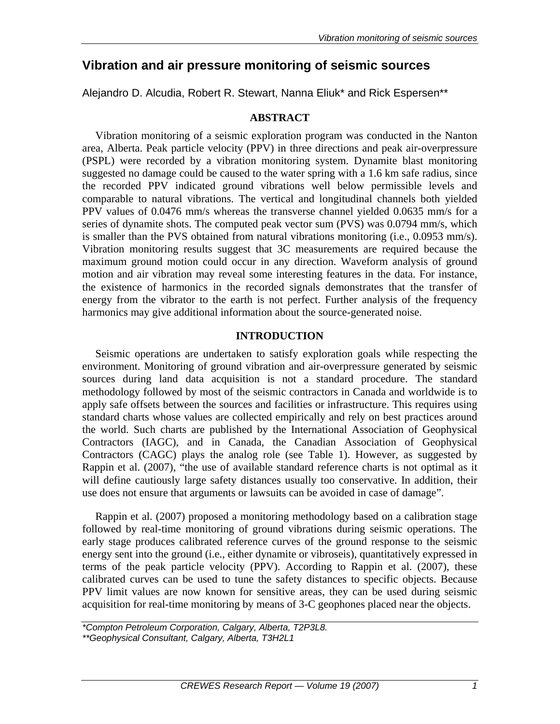# **Vibration and air pressure monitoring of seismic sources**

Alejandro D. Alcudia, Robert R. Stewart, Nanna Eliuk\* and Rick Espersen\*\*

# **ABSTRACT**

Vibration monitoring of a seismic exploration program was conducted in the Nanton area, Alberta. Peak particle velocity (PPV) in three directions and peak air-overpressure (PSPL) were recorded by a vibration monitoring system. Dynamite blast monitoring suggested no damage could be caused to the water spring with a 1.6 km safe radius, since the recorded PPV indicated ground vibrations well below permissible levels and comparable to natural vibrations. The vertical and longitudinal channels both yielded PPV values of 0.0476 mm/s whereas the transverse channel yielded 0.0635 mm/s for a series of dynamite shots. The computed peak vector sum (PVS) was 0.0794 mm/s, which is smaller than the PVS obtained from natural vibrations monitoring (i.e., 0.0953 mm/s). Vibration monitoring results suggest that 3C measurements are required because the maximum ground motion could occur in any direction. Waveform analysis of ground motion and air vibration may reveal some interesting features in the data. For instance, the existence of harmonics in the recorded signals demonstrates that the transfer of energy from the vibrator to the earth is not perfect. Further analysis of the frequency harmonics may give additional information about the source-generated noise.

## **INTRODUCTION**

Seismic operations are undertaken to satisfy exploration goals while respecting the environment. Monitoring of ground vibration and air-overpressure generated by seismic sources during land data acquisition is not a standard procedure. The standard methodology followed by most of the seismic contractors in Canada and worldwide is to apply safe offsets between the sources and facilities or infrastructure. This requires using standard charts whose values are collected empirically and rely on best practices around the world. Such charts are published by the International Association of Geophysical Contractors (IAGC), and in Canada, the Canadian Association of Geophysical Contractors (CAGC) plays the analog role (see Table 1). However, as suggested by Rappin et al. (2007), "the use of available standard reference charts is not optimal as it will define cautiously large safety distances usually too conservative. In addition, their use does not ensure that arguments or lawsuits can be avoided in case of damage".

Rappin et al. (2007) proposed a monitoring methodology based on a calibration stage followed by real-time monitoring of ground vibrations during seismic operations. The early stage produces calibrated reference curves of the ground response to the seismic energy sent into the ground (i.e., either dynamite or vibroseis), quantitatively expressed in terms of the peak particle velocity (PPV). According to Rappin et al. (2007), these calibrated curves can be used to tune the safety distances to specific objects. Because PPV limit values are now known for sensitive areas, they can be used during seismic acquisition for real-time monitoring by means of 3-C geophones placed near the objects.

*\*\*Geophysical Consultant, Calgary, Alberta, T3H2L1* 

*<sup>\*</sup>Compton Petroleum Corporation, Calgary, Alberta, T2P3L8.*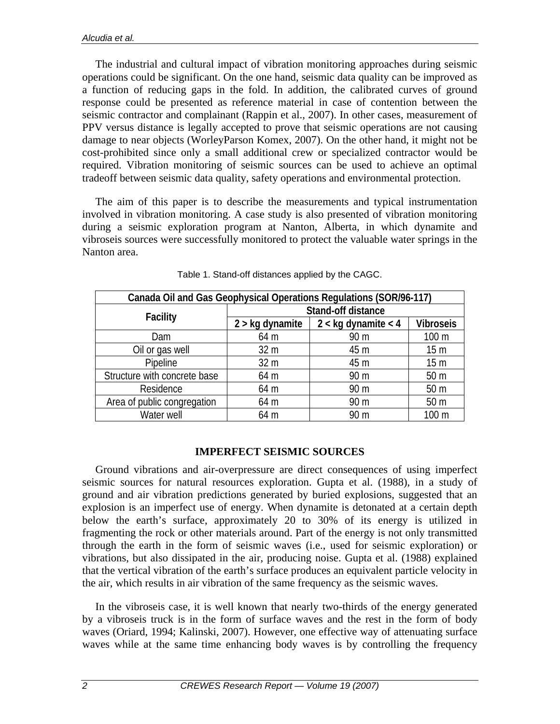The industrial and cultural impact of vibration monitoring approaches during seismic operations could be significant. On the one hand, seismic data quality can be improved as a function of reducing gaps in the fold. In addition, the calibrated curves of ground response could be presented as reference material in case of contention between the seismic contractor and complainant (Rappin et al., 2007). In other cases, measurement of PPV versus distance is legally accepted to prove that seismic operations are not causing damage to near objects (WorleyParson Komex, 2007). On the other hand, it might not be cost-prohibited since only a small additional crew or specialized contractor would be required. Vibration monitoring of seismic sources can be used to achieve an optimal tradeoff between seismic data quality, safety operations and environmental protection.

The aim of this paper is to describe the measurements and typical instrumentation involved in vibration monitoring. A case study is also presented of vibration monitoring during a seismic exploration program at Nanton, Alberta, in which dynamite and vibroseis sources were successfully monitored to protect the valuable water springs in the Nanton area.

| Canada Oil and Gas Geophysical Operations Regulations (SOR/96-117) |                    |                         |                  |
|--------------------------------------------------------------------|--------------------|-------------------------|------------------|
| <b>Facility</b>                                                    | Stand-off distance |                         |                  |
|                                                                    | $2 >$ kg dynamite  | $2 <$ kg dynamite $<$ 4 | <b>Vibroseis</b> |
| Dam                                                                | 64 m               | 90 m                    | 100 m            |
| Oil or gas well                                                    | 32 <sub>m</sub>    | 45 m                    | 15 <sub>m</sub>  |
| Pipeline                                                           | 32 <sub>m</sub>    | 45 m                    | 15 <sub>m</sub>  |
| Structure with concrete base                                       | 64 m               | 90 m                    | 50 <sub>m</sub>  |
| Residence                                                          | 64 m               | 90 <sub>m</sub>         | 50 <sub>m</sub>  |
| Area of public congregation                                        | 64 m               | 90 m                    | 50 <sub>m</sub>  |
| Water well                                                         | 64 m               | 90 <sub>m</sub>         | 100 m            |

Table 1. Stand-off distances applied by the CAGC.

## **IMPERFECT SEISMIC SOURCES**

Ground vibrations and air-overpressure are direct consequences of using imperfect seismic sources for natural resources exploration. Gupta et al. (1988), in a study of ground and air vibration predictions generated by buried explosions, suggested that an explosion is an imperfect use of energy. When dynamite is detonated at a certain depth below the earth's surface, approximately 20 to 30% of its energy is utilized in fragmenting the rock or other materials around. Part of the energy is not only transmitted through the earth in the form of seismic waves (i.e., used for seismic exploration) or vibrations, but also dissipated in the air, producing noise. Gupta et al. (1988) explained that the vertical vibration of the earth's surface produces an equivalent particle velocity in the air, which results in air vibration of the same frequency as the seismic waves.

In the vibroseis case, it is well known that nearly two-thirds of the energy generated by a vibroseis truck is in the form of surface waves and the rest in the form of body waves (Oriard, 1994; Kalinski, 2007). However, one effective way of attenuating surface waves while at the same time enhancing body waves is by controlling the frequency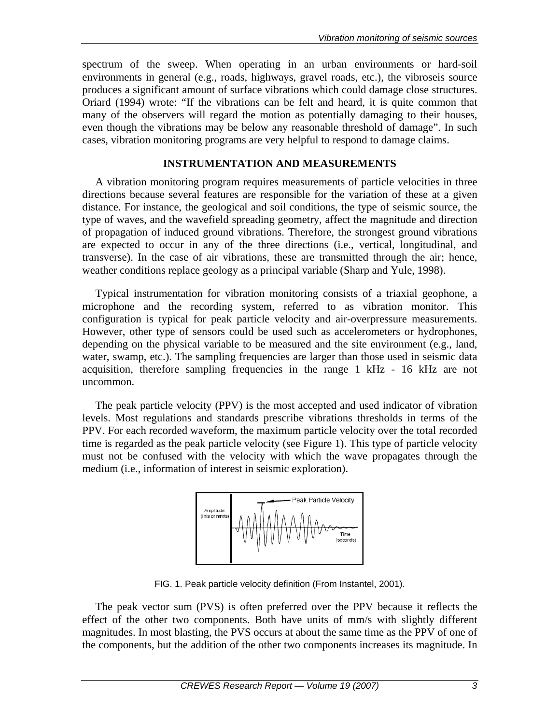spectrum of the sweep. When operating in an urban environments or hard-soil environments in general (e.g., roads, highways, gravel roads, etc.), the vibroseis source produces a significant amount of surface vibrations which could damage close structures. Oriard (1994) wrote: "If the vibrations can be felt and heard, it is quite common that many of the observers will regard the motion as potentially damaging to their houses, even though the vibrations may be below any reasonable threshold of damage". In such cases, vibration monitoring programs are very helpful to respond to damage claims.

## **INSTRUMENTATION AND MEASUREMENTS**

A vibration monitoring program requires measurements of particle velocities in three directions because several features are responsible for the variation of these at a given distance. For instance, the geological and soil conditions, the type of seismic source, the type of waves, and the wavefield spreading geometry, affect the magnitude and direction of propagation of induced ground vibrations. Therefore, the strongest ground vibrations are expected to occur in any of the three directions (i.e., vertical, longitudinal, and transverse). In the case of air vibrations, these are transmitted through the air; hence, weather conditions replace geology as a principal variable (Sharp and Yule, 1998).

Typical instrumentation for vibration monitoring consists of a triaxial geophone, a microphone and the recording system, referred to as vibration monitor. This configuration is typical for peak particle velocity and air-overpressure measurements. However, other type of sensors could be used such as accelerometers or hydrophones, depending on the physical variable to be measured and the site environment (e.g., land, water, swamp, etc.). The sampling frequencies are larger than those used in seismic data acquisition, therefore sampling frequencies in the range 1 kHz - 16 kHz are not uncommon.

The peak particle velocity (PPV) is the most accepted and used indicator of vibration levels. Most regulations and standards prescribe vibrations thresholds in terms of the PPV. For each recorded waveform, the maximum particle velocity over the total recorded time is regarded as the peak particle velocity (see Figure 1). This type of particle velocity must not be confused with the velocity with which the wave propagates through the medium (i.e., information of interest in seismic exploration).



FIG. 1. Peak particle velocity definition (From Instantel, 2001).

The peak vector sum (PVS) is often preferred over the PPV because it reflects the effect of the other two components. Both have units of mm/s with slightly different magnitudes. In most blasting, the PVS occurs at about the same time as the PPV of one of the components, but the addition of the other two components increases its magnitude. In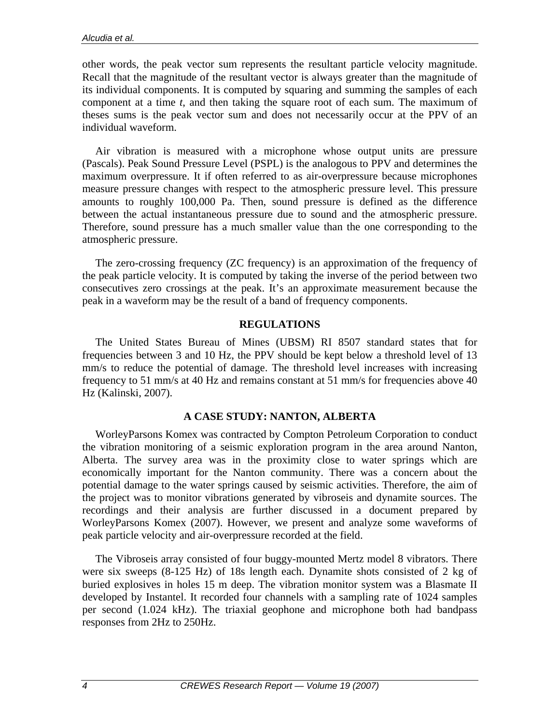other words, the peak vector sum represents the resultant particle velocity magnitude. Recall that the magnitude of the resultant vector is always greater than the magnitude of its individual components. It is computed by squaring and summing the samples of each component at a time *t*, and then taking the square root of each sum. The maximum of theses sums is the peak vector sum and does not necessarily occur at the PPV of an individual waveform.

Air vibration is measured with a microphone whose output units are pressure (Pascals). Peak Sound Pressure Level (PSPL) is the analogous to PPV and determines the maximum overpressure. It if often referred to as air-overpressure because microphones measure pressure changes with respect to the atmospheric pressure level. This pressure amounts to roughly 100,000 Pa. Then, sound pressure is defined as the difference between the actual instantaneous pressure due to sound and the atmospheric pressure. Therefore, sound pressure has a much smaller value than the one corresponding to the atmospheric pressure.

The zero-crossing frequency (ZC frequency) is an approximation of the frequency of the peak particle velocity. It is computed by taking the inverse of the period between two consecutives zero crossings at the peak. It's an approximate measurement because the peak in a waveform may be the result of a band of frequency components.

#### **REGULATIONS**

The United States Bureau of Mines (UBSM) RI 8507 standard states that for frequencies between 3 and 10 Hz, the PPV should be kept below a threshold level of 13 mm/s to reduce the potential of damage. The threshold level increases with increasing frequency to 51 mm/s at 40 Hz and remains constant at 51 mm/s for frequencies above 40 Hz (Kalinski, 2007).

## **A CASE STUDY: NANTON, ALBERTA**

WorleyParsons Komex was contracted by Compton Petroleum Corporation to conduct the vibration monitoring of a seismic exploration program in the area around Nanton, Alberta. The survey area was in the proximity close to water springs which are economically important for the Nanton community. There was a concern about the potential damage to the water springs caused by seismic activities. Therefore, the aim of the project was to monitor vibrations generated by vibroseis and dynamite sources. The recordings and their analysis are further discussed in a document prepared by WorleyParsons Komex (2007). However, we present and analyze some waveforms of peak particle velocity and air-overpressure recorded at the field.

The Vibroseis array consisted of four buggy-mounted Mertz model 8 vibrators. There were six sweeps (8-125 Hz) of 18s length each. Dynamite shots consisted of 2 kg of buried explosives in holes 15 m deep. The vibration monitor system was a Blasmate II developed by Instantel. It recorded four channels with a sampling rate of 1024 samples per second (1.024 kHz). The triaxial geophone and microphone both had bandpass responses from 2Hz to 250Hz.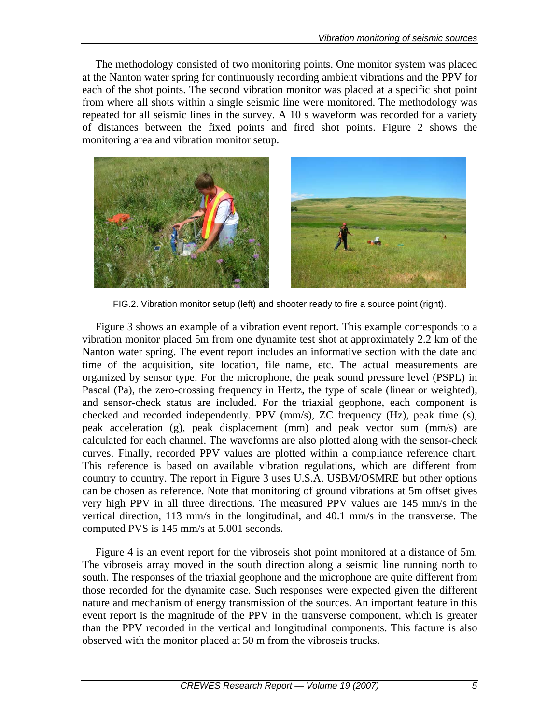The methodology consisted of two monitoring points. One monitor system was placed at the Nanton water spring for continuously recording ambient vibrations and the PPV for each of the shot points. The second vibration monitor was placed at a specific shot point from where all shots within a single seismic line were monitored. The methodology was repeated for all seismic lines in the survey. A 10 s waveform was recorded for a variety of distances between the fixed points and fired shot points. Figure 2 shows the monitoring area and vibration monitor setup.



FIG.2. Vibration monitor setup (left) and shooter ready to fire a source point (right).

Figure 3 shows an example of a vibration event report. This example corresponds to a vibration monitor placed 5m from one dynamite test shot at approximately 2.2 km of the Nanton water spring. The event report includes an informative section with the date and time of the acquisition, site location, file name, etc. The actual measurements are organized by sensor type. For the microphone, the peak sound pressure level (PSPL) in Pascal (Pa), the zero-crossing frequency in Hertz, the type of scale (linear or weighted), and sensor-check status are included. For the triaxial geophone, each component is checked and recorded independently. PPV (mm/s), ZC frequency (Hz), peak time (s), peak acceleration (g), peak displacement (mm) and peak vector sum (mm/s) are calculated for each channel. The waveforms are also plotted along with the sensor-check curves. Finally, recorded PPV values are plotted within a compliance reference chart. This reference is based on available vibration regulations, which are different from country to country. The report in Figure 3 uses U.S.A. USBM/OSMRE but other options can be chosen as reference. Note that monitoring of ground vibrations at 5m offset gives very high PPV in all three directions. The measured PPV values are 145 mm/s in the vertical direction, 113 mm/s in the longitudinal, and 40.1 mm/s in the transverse. The computed PVS is 145 mm/s at 5.001 seconds.

Figure 4 is an event report for the vibroseis shot point monitored at a distance of 5m. The vibroseis array moved in the south direction along a seismic line running north to south. The responses of the triaxial geophone and the microphone are quite different from those recorded for the dynamite case. Such responses were expected given the different nature and mechanism of energy transmission of the sources. An important feature in this event report is the magnitude of the PPV in the transverse component, which is greater than the PPV recorded in the vertical and longitudinal components. This facture is also observed with the monitor placed at 50 m from the vibroseis trucks.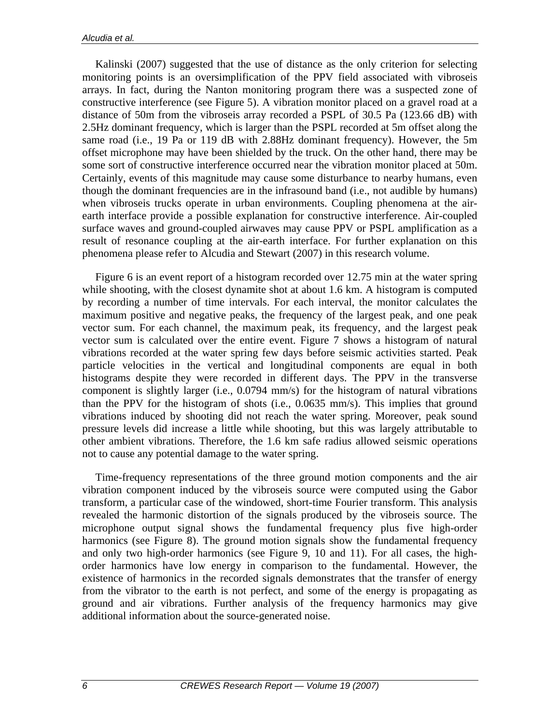Kalinski (2007) suggested that the use of distance as the only criterion for selecting monitoring points is an oversimplification of the PPV field associated with vibroseis arrays. In fact, during the Nanton monitoring program there was a suspected zone of constructive interference (see Figure 5). A vibration monitor placed on a gravel road at a distance of 50m from the vibroseis array recorded a PSPL of 30.5 Pa (123.66 dB) with 2.5Hz dominant frequency, which is larger than the PSPL recorded at 5m offset along the same road (i.e., 19 Pa or 119 dB with 2.88Hz dominant frequency). However, the 5m offset microphone may have been shielded by the truck. On the other hand, there may be some sort of constructive interference occurred near the vibration monitor placed at 50m. Certainly, events of this magnitude may cause some disturbance to nearby humans, even though the dominant frequencies are in the infrasound band (i.e., not audible by humans) when vibroseis trucks operate in urban environments. Coupling phenomena at the airearth interface provide a possible explanation for constructive interference. Air-coupled surface waves and ground-coupled airwaves may cause PPV or PSPL amplification as a result of resonance coupling at the air-earth interface. For further explanation on this phenomena please refer to Alcudia and Stewart (2007) in this research volume.

Figure 6 is an event report of a histogram recorded over 12.75 min at the water spring while shooting, with the closest dynamite shot at about 1.6 km. A histogram is computed by recording a number of time intervals. For each interval, the monitor calculates the maximum positive and negative peaks, the frequency of the largest peak, and one peak vector sum. For each channel, the maximum peak, its frequency, and the largest peak vector sum is calculated over the entire event. Figure 7 shows a histogram of natural vibrations recorded at the water spring few days before seismic activities started. Peak particle velocities in the vertical and longitudinal components are equal in both histograms despite they were recorded in different days. The PPV in the transverse component is slightly larger (i.e., 0.0794 mm/s) for the histogram of natural vibrations than the PPV for the histogram of shots (i.e., 0.0635 mm/s). This implies that ground vibrations induced by shooting did not reach the water spring. Moreover, peak sound pressure levels did increase a little while shooting, but this was largely attributable to other ambient vibrations. Therefore, the 1.6 km safe radius allowed seismic operations not to cause any potential damage to the water spring.

Time-frequency representations of the three ground motion components and the air vibration component induced by the vibroseis source were computed using the Gabor transform, a particular case of the windowed, short-time Fourier transform. This analysis revealed the harmonic distortion of the signals produced by the vibroseis source. The microphone output signal shows the fundamental frequency plus five high-order harmonics (see Figure 8). The ground motion signals show the fundamental frequency and only two high-order harmonics (see Figure 9, 10 and 11). For all cases, the highorder harmonics have low energy in comparison to the fundamental. However, the existence of harmonics in the recorded signals demonstrates that the transfer of energy from the vibrator to the earth is not perfect, and some of the energy is propagating as ground and air vibrations. Further analysis of the frequency harmonics may give additional information about the source-generated noise.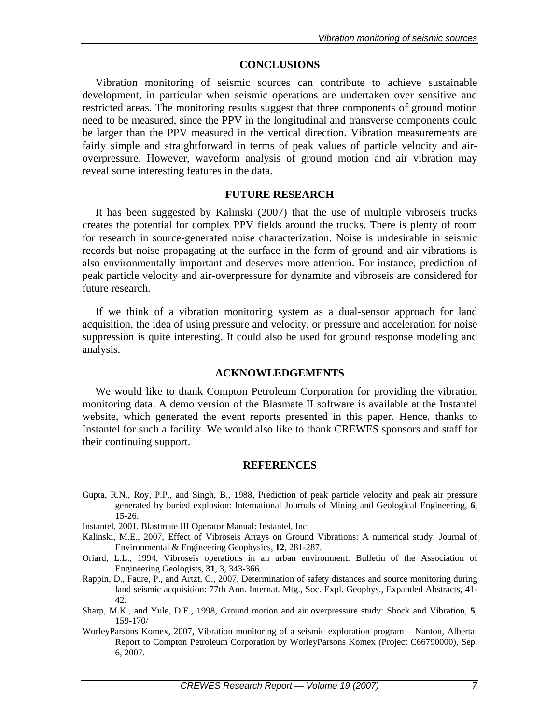#### **CONCLUSIONS**

Vibration monitoring of seismic sources can contribute to achieve sustainable development, in particular when seismic operations are undertaken over sensitive and restricted areas. The monitoring results suggest that three components of ground motion need to be measured, since the PPV in the longitudinal and transverse components could be larger than the PPV measured in the vertical direction. Vibration measurements are fairly simple and straightforward in terms of peak values of particle velocity and airoverpressure. However, waveform analysis of ground motion and air vibration may reveal some interesting features in the data.

#### **FUTURE RESEARCH**

It has been suggested by Kalinski (2007) that the use of multiple vibroseis trucks creates the potential for complex PPV fields around the trucks. There is plenty of room for research in source-generated noise characterization. Noise is undesirable in seismic records but noise propagating at the surface in the form of ground and air vibrations is also environmentally important and deserves more attention. For instance, prediction of peak particle velocity and air-overpressure for dynamite and vibroseis are considered for future research.

If we think of a vibration monitoring system as a dual-sensor approach for land acquisition, the idea of using pressure and velocity, or pressure and acceleration for noise suppression is quite interesting. It could also be used for ground response modeling and analysis.

## **ACKNOWLEDGEMENTS**

We would like to thank Compton Petroleum Corporation for providing the vibration monitoring data. A demo version of the Blasmate II software is available at the Instantel website, which generated the event reports presented in this paper. Hence, thanks to Instantel for such a facility. We would also like to thank CREWES sponsors and staff for their continuing support.

# **REFERENCES**

- Gupta, R.N., Roy, P.P., and Singh, B., 1988, Prediction of peak particle velocity and peak air pressure generated by buried explosion: International Journals of Mining and Geological Engineering, **6**, 15-26.
- Instantel, 2001, Blastmate III Operator Manual: Instantel, Inc.
- Kalinski, M.E., 2007, Effect of Vibroseis Arrays on Ground Vibrations: A numerical study: Journal of Environmental & Engineering Geophysics, **12**, 281-287.
- Oriard, L.L., 1994, Vibroseis operations in an urban environment: Bulletin of the Association of Engineering Geologists, **31**, 3, 343-366.
- Rappin, D., Faure, P., and Artzt, C., 2007, Determination of safety distances and source monitoring during land seismic acquisition: 77th Ann. Internat. Mtg., Soc. Expl. Geophys., Expanded Abstracts, 41- 42.
- Sharp, M.K., and Yule, D.E., 1998, Ground motion and air overpressure study: Shock and Vibration, **5**, 159-170/
- WorleyParsons Komex, 2007, Vibration monitoring of a seismic exploration program Nanton, Alberta: Report to Compton Petroleum Corporation by WorleyParsons Komex (Project C66790000), Sep. 6, 2007.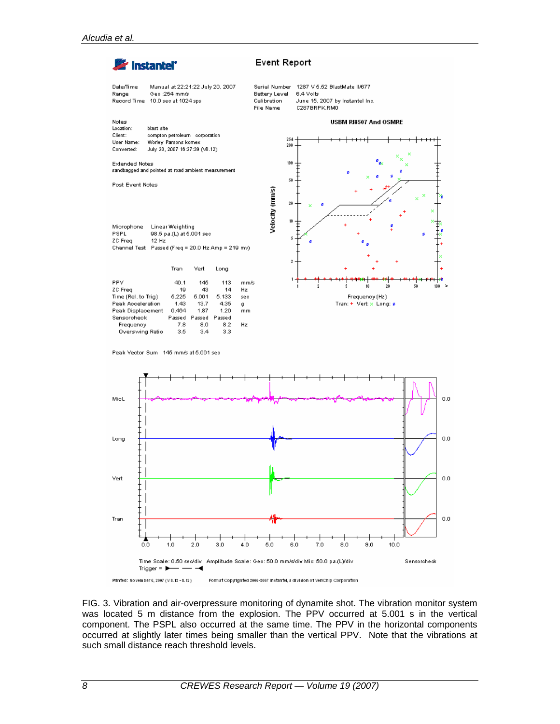

FIG. 3. Vibration and air-overpressure monitoring of dynamite shot. The vibration monitor system was located 5 m distance from the explosion. The PPV occurred at 5.001 s in the vertical component. The PSPL also occurred at the same time. The PPV in the horizontal components occurred at slightly later times being smaller than the vertical PPV. Note that the vibrations at such small distance reach threshold levels.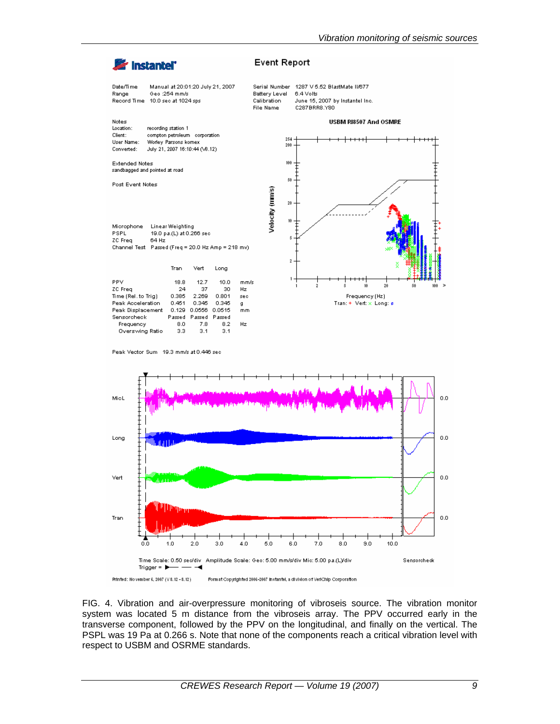

FIG. 4. Vibration and air-overpressure monitoring of vibroseis source. The vibration monitor system was located 5 m distance from the vibroseis array. The PPV occurred early in the transverse component, followed by the PPV on the longitudinal, and finally on the vertical. The PSPL was 19 Pa at 0.266 s. Note that none of the components reach a critical vibration level with respect to USBM and OSRME standards.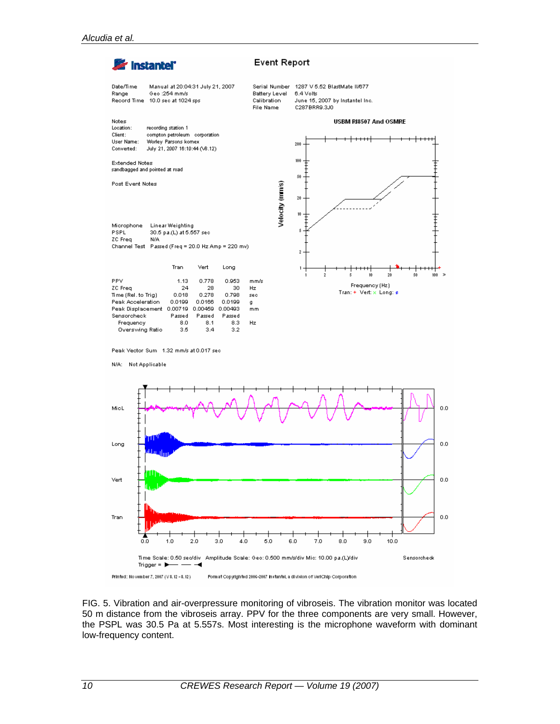

FIG. 5. Vibration and air-overpressure monitoring of vibroseis. The vibration monitor was located 50 m distance from the vibroseis array. PPV for the three components are very small. However, the PSPL was 30.5 Pa at 5.557s. Most interesting is the microphone waveform with dominant low-frequency content.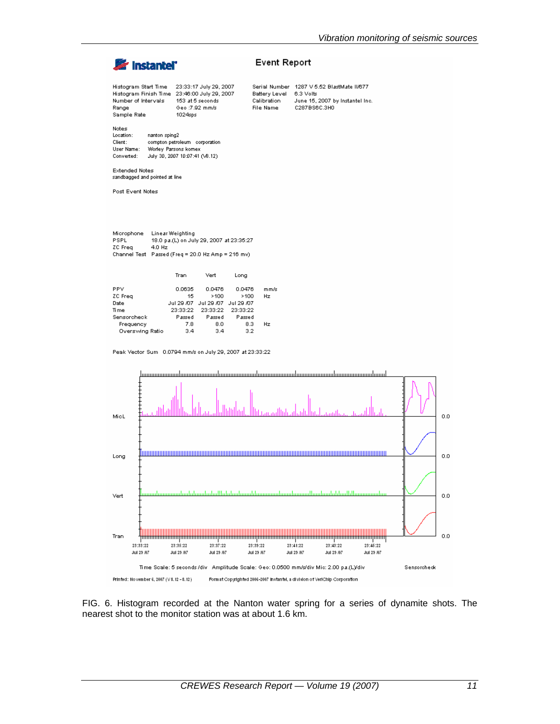

FIG. 6. Histogram recorded at the Nanton water spring for a series of dynamite shots. The nearest shot to the monitor station was at about 1.6 km.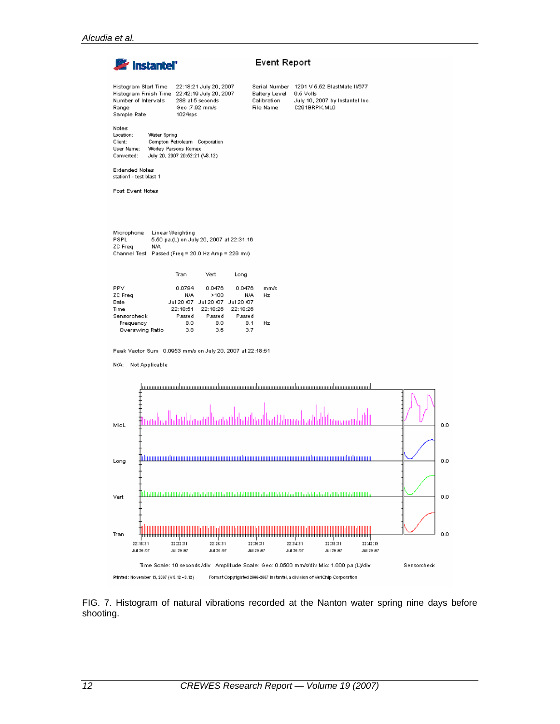

FIG. 7. Histogram of natural vibrations recorded at the Nanton water spring nine days before shooting.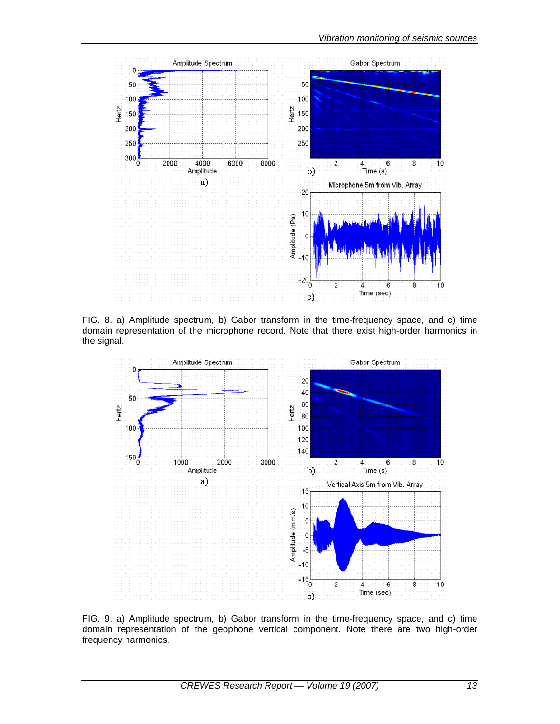

FIG. 8. a) Amplitude spectrum, b) Gabor transform in the time-frequency space, and c) time domain representation of the microphone record. Note that there exist high-order harmonics in the signal.



FIG. 9. a) Amplitude spectrum, b) Gabor transform in the time-frequency space, and c) time domain representation of the geophone vertical component. Note there are two high-order frequency harmonics.